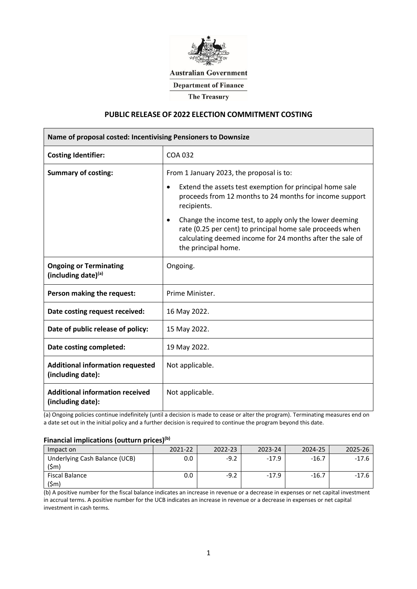

### **Australian Government**

**Department of Finance** 

**The Treasury** 

# **PUBLIC RELEASE OF 2022 ELECTION COMMITMENT COSTING**

| Name of proposal costed: Incentivising Pensioners to Downsize |                                                                                                                                                                                                                                                                                                                                                                                                              |  |  |  |
|---------------------------------------------------------------|--------------------------------------------------------------------------------------------------------------------------------------------------------------------------------------------------------------------------------------------------------------------------------------------------------------------------------------------------------------------------------------------------------------|--|--|--|
| <b>Costing Identifier:</b>                                    | COA 032                                                                                                                                                                                                                                                                                                                                                                                                      |  |  |  |
| <b>Summary of costing:</b>                                    | From 1 January 2023, the proposal is to:<br>Extend the assets test exemption for principal home sale<br>٠<br>proceeds from 12 months to 24 months for income support<br>recipients.<br>Change the income test, to apply only the lower deeming<br>$\bullet$<br>rate (0.25 per cent) to principal home sale proceeds when<br>calculating deemed income for 24 months after the sale of<br>the principal home. |  |  |  |
| <b>Ongoing or Terminating</b><br>(including date)(a)          | Ongoing.                                                                                                                                                                                                                                                                                                                                                                                                     |  |  |  |
| Person making the request:                                    | Prime Minister.                                                                                                                                                                                                                                                                                                                                                                                              |  |  |  |
| Date costing request received:                                | 16 May 2022.                                                                                                                                                                                                                                                                                                                                                                                                 |  |  |  |
| Date of public release of policy:                             | 15 May 2022.                                                                                                                                                                                                                                                                                                                                                                                                 |  |  |  |
| Date costing completed:                                       | 19 May 2022.                                                                                                                                                                                                                                                                                                                                                                                                 |  |  |  |
| <b>Additional information requested</b><br>(including date):  | Not applicable.                                                                                                                                                                                                                                                                                                                                                                                              |  |  |  |
| <b>Additional information received</b><br>(including date):   | Not applicable.                                                                                                                                                                                                                                                                                                                                                                                              |  |  |  |

(a) Ongoing policies continue indefinitely (until a decision is made to cease or alter the program). Terminating measures end on a date set out in the initial policy and a further decision is required to continue the program beyond this date.

### **Financial implications (outturn prices)(b)**

| Impact on                              | 2021-22 | 2022-23 | 2023-24 | 2024-25   |  |
|----------------------------------------|---------|---------|---------|-----------|--|
| Underlying Cash Balance (UCB)<br>(\$m) |         | -47     | -179    | $-16/$    |  |
| Fiscal Balance                         |         | -47     | -174    | $-16$ $'$ |  |

(b) A positive number for the fiscal balance indicates an increase in revenue or a decrease in expenses or net capital investment in accrual terms. A positive number for the UCB indicates an increase in revenue or a decrease in expenses or net capital investment in cash terms.